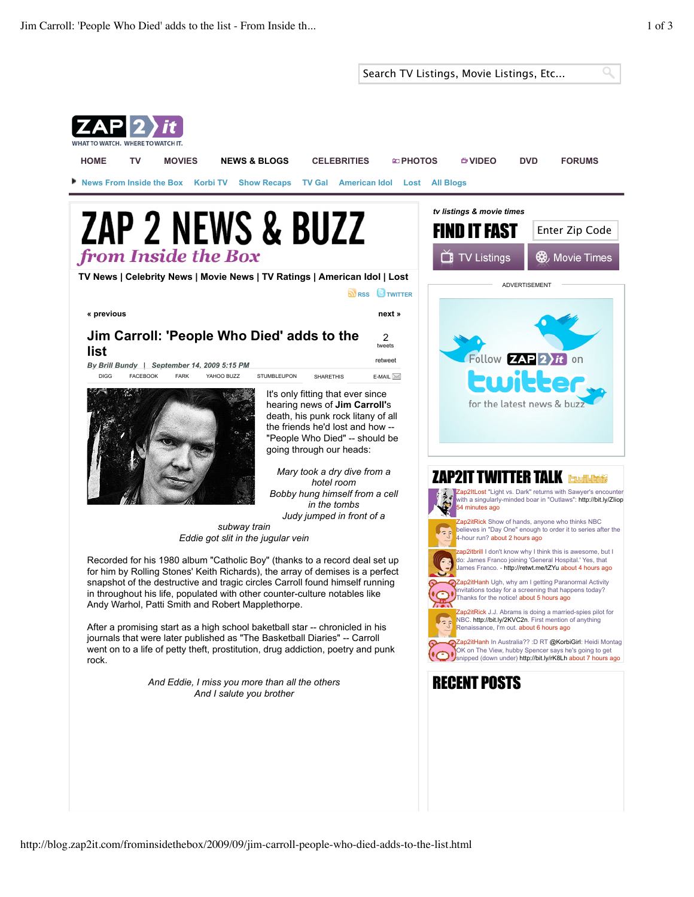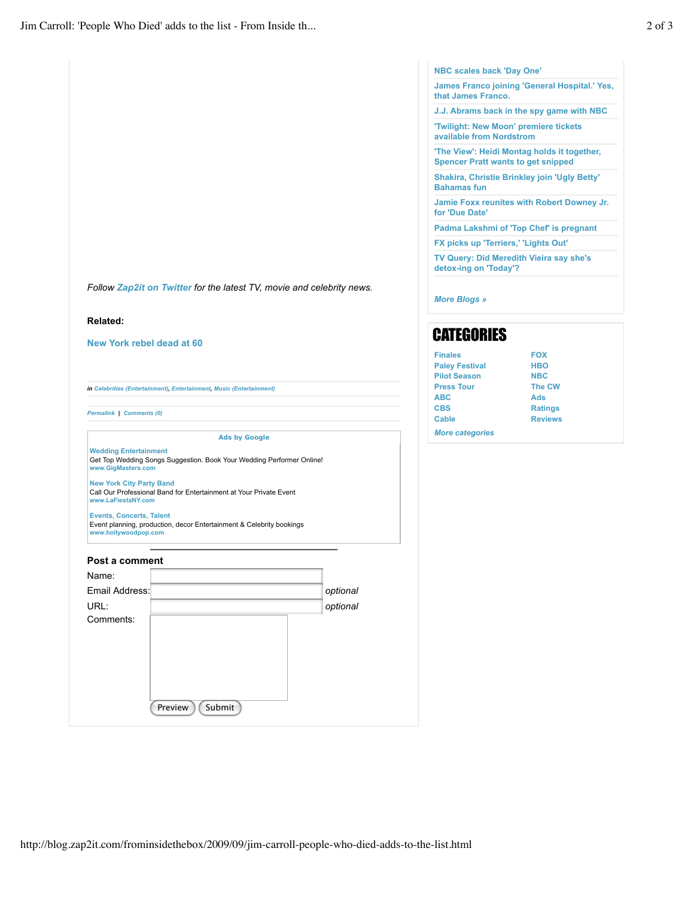**Related:**

**New York rebel dead at 60**

*Permalink | Comments (0)*

*in Celebrities (Entertainment), Entertainment, Music (Entertainment)*

## **NBC scales back 'Day One'**

**James Franco joining 'General Hospital.' Yes, that James Franco.**

**J.J. Abrams back in the spy game with NBC**

**'Twilight: New Moon' premiere tickets available from Nordstrom**

**'The View': Heidi Montag holds it together, Spencer Pratt wants to get snipped**

**Shakira, Christie Brinkley join 'Ugly Betty' Bahamas fun**

**Jamie Foxx reunites with Robert Downey Jr. for 'Due Date'**

**Padma Lakshmi of 'Top Chef' is pregnant**

**FX picks up 'Terriers,' 'Lights Out'**

**TV Query: Did Meredith Vieira say she's detox-ing on 'Today'?**

*More Blogs »*

## **CATEGORIES**

**Finales Paley Festival Pilot Season Press Tour ABC CBS Cable FOX** *More categories*

**HBO NBC The CW Ads Ratings Reviews**

**Wedding Entertainment** Get Top Wedding Songs Suggestion. Book Your Wedding Performer Online! **www.GigMasters.com New York City Party Band** Call Our Professional Band for Entertainment at Your Private Event **www.LaFiestaNY.com Events, Concerts, Talent** Event planning, production, decor Entertainment & Celebrity bookings **www.hollywoodpop.com Post a comment** Name: Email Address: *optional* URL: *optional* Comments: Preview ) (Submit)

*Follow Zap2it on Twitter for the latest TV, movie and celebrity news.*

**Ads by Google**